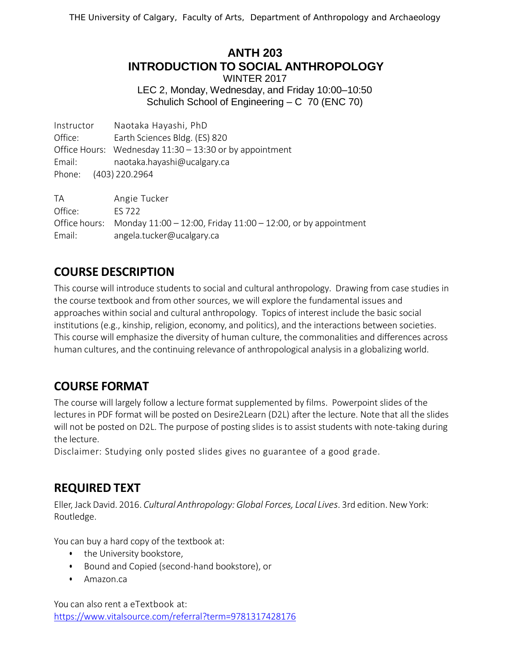THE University of Calgary, Faculty of Arts, Department of Anthropology and Archaeology

### **ANTH 203 INTRODUCTION TO SOCIAL ANTHROPOLOGY** WINTER 2017

LEC 2, Monday, Wednesday, and Friday 10:00–10:50 Schulich School of Engineering – C 70 (ENC 70)

| Instructor            | Naotaka Hayashi, PhD                                                              |  |  |  |  |
|-----------------------|-----------------------------------------------------------------------------------|--|--|--|--|
| Office:               | Earth Sciences Bldg. (ES) 820                                                     |  |  |  |  |
|                       | Office Hours: Wednesday 11:30 - 13:30 or by appointment                           |  |  |  |  |
| Email:                | naotaka.hayashi@ucalgary.ca                                                       |  |  |  |  |
| Phone: (403) 220.2964 |                                                                                   |  |  |  |  |
| <b>TA</b>             | Angie Tucker                                                                      |  |  |  |  |
| Office:               | ES 722                                                                            |  |  |  |  |
|                       | Office hours: Monday $11:00 - 12:00$ , Friday $11:00 - 12:00$ , or by appointment |  |  |  |  |

Email: [angela.tucker@ucalgary.ca](mailto:angela.tucker@ucalgary.ca)

## **COURSE DESCRIPTION**

This course will introduce students to social and cultural anthropology. Drawing from case studies in the course textbook and from other sources, we will explore the fundamental issues and approaches within social and cultural anthropology. Topics of interest include the basic social institutions (e.g., kinship, religion, economy, and politics), and the interactions between societies. This course will emphasize the diversity of human culture, the commonalities and differences across human cultures, and the continuing relevance of anthropological analysis in a globalizing world.

# **COURSE FORMAT**

The course will largely follow a lecture format supplemented by films. Powerpoint slides of the lectures in PDF format will be posted on Desire2Learn (D2L) after the lecture. Note that all the slides will not be posted on D2L. The purpose of posting slides is to assist students with note-taking during the lecture.

Disclaimer: Studying only posted slides gives no guarantee of a good grade.

## **REQUIRED TEXT**

Eller, Jack David. 2016. *Cultural Anthropology: Global Forces, Local Lives*. 3rd edition.NewYork: Routledge.

You can buy a hard copy of the textbook at:

- the University bookstore,
- Bound and Copied (second-hand bookstore), or
- Amazon.ca

You can also rent a eTextbook at: <https://www.vitalsource.com/referral?term=9781317428176>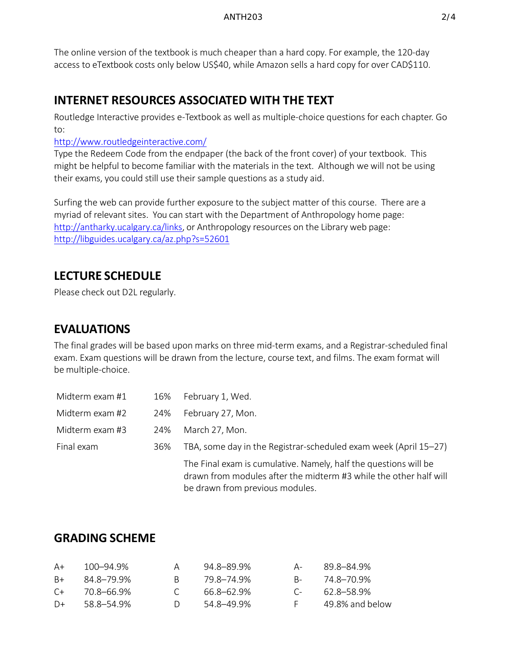The online version of the textbook is much cheaper than a hard copy. For example, the 120-day access to eTextbook costs only below US\$40, while Amazon sells a hard copy for over CAD\$110.

### **INTERNET RESOURCES ASSOCIATED WITH THE TEXT**

Routledge Interactive provides e-Textbook as well as multiple-choice questions for each chapter. Go to:

### <http://www.routledgeinteractive.com/>

Type the Redeem Code from the endpaper (the back of the front cover) of your textbook. This might be helpful to become familiar with the materials in the text. Although we will not be using their exams, you could still use their sample questions as a study aid.

Surfing the web can provide further exposure to the subject matter of this course. There are a myriad of relevant sites. You can start with the Department of Anthropology home page: [http://antharky.ucalgary.ca/links,](http://antharky.ucalgary.ca/links) or Anthropology resources on the Library web page: <http://libguides.ucalgary.ca/az.php?s=52601>

## **LECTURE SCHEDULE**

Please check out D2L regularly.

### **EVALUATIONS**

The final grades will be based upon marks on three mid-term exams, and a Registrar-scheduled final exam. Exam questions will be drawn from the lecture, course text, and films. The exam format will be multiple-choice.

| Midterm exam #1 | 16% | February 1, Wed.                                                                                                                                                         |
|-----------------|-----|--------------------------------------------------------------------------------------------------------------------------------------------------------------------------|
| Midterm exam #2 | 24% | February 27, Mon.                                                                                                                                                        |
| Midterm exam #3 | 24% | March 27, Mon.                                                                                                                                                           |
| Final exam      | 36% | TBA, some day in the Registrar-scheduled exam week (April 15–27)                                                                                                         |
|                 |     | The Final exam is cumulative. Namely, half the questions will be<br>drawn from modules after the midterm #3 while the other half will<br>be drawn from previous modules. |

### **GRADING SCHEME**

| A+    | 100–94.9%  |               | 94.8–89.9% | $A -$     | 89.8–84.9%      |
|-------|------------|---------------|------------|-----------|-----------------|
| $B+$  | 84.8–79.9% |               | 79 8–74 9% | $R_{-}$   | 74.8–70.9%      |
| $C++$ | 70.8–66.9% | $\mathcal{L}$ | 66.8–62.9% | $C_{\pm}$ | 62.8–58.9%      |
| $D+$  | 58.8–54.9% |               | 54.8–49.9% | H         | 49.8% and below |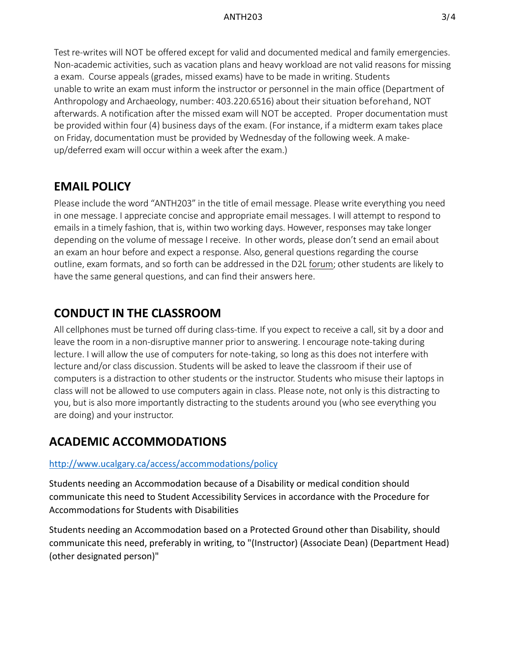#### ANTH 203 3/4

Test re-writes will NOT be offered except for valid and documented medical and family emergencies. Non-academic activities, such as vacation plans and heavy workload are not valid reasons for missing a exam. Course appeals (grades, missed exams) have to be made in writing. Students unable to write an exam must inform the instructor or personnel in the main office (Department of Anthropology and Archaeology, number: 403.220.6516) about their situation beforehand, NOT afterwards. A notification after the missed exam will NOT be accepted. Proper documentation must be provided within four (4) business days of the exam. (For instance, if a midterm exam takes place on Friday, documentation must be provided by Wednesday of the following week. A makeup/deferred exam will occur within a week after the exam.)

### **EMAIL POLICY**

Please include the word "ANTH203" in the title of email message. Please write everything you need in one message. I appreciate concise and appropriate email messages. I will attempt to respond to emails in a timely fashion, that is, within two working days. However, responses may take longer depending on the volume of message I receive. In other words, please don't send an email about an exam an hour before and expect a response. Also, general questions regarding the course outline, exam formats, and so forth can be addressed in the D2L forum; other students are likely to have the same general questions, and can find their answers here.

### **CONDUCT IN THE CLASSROOM**

All cellphones must be turned off during class-time. If you expect to receive a call, sit by a door and leave the room in a non-disruptive manner prior to answering. I encourage note-taking during lecture. I will allow the use of computers for note-taking, so long as this does not interfere with lecture and/or class discussion. Students will be asked to leave the classroom if their use of computers is a distraction to other students or the instructor. Students who misuse their laptops in class will not be allowed to use computers again in class. Please note, not only is this distracting to you, but is also more importantly distracting to the students around you (who see everything you are doing) and your instructor.

## **ACADEMIC ACCOMMODATIONS**

### <http://www.ucalgary.ca/access/accommodations/policy>

Students needing an Accommodation because of a Disability or medical condition should communicate this need to Student Accessibility Services in accordance with the Procedure for Accommodations for Students with Disabilities

Students needing an Accommodation based on a Protected Ground other than Disability, should communicate this need, preferably in writing, to "(Instructor) (Associate Dean) (Department Head) (other designated person)"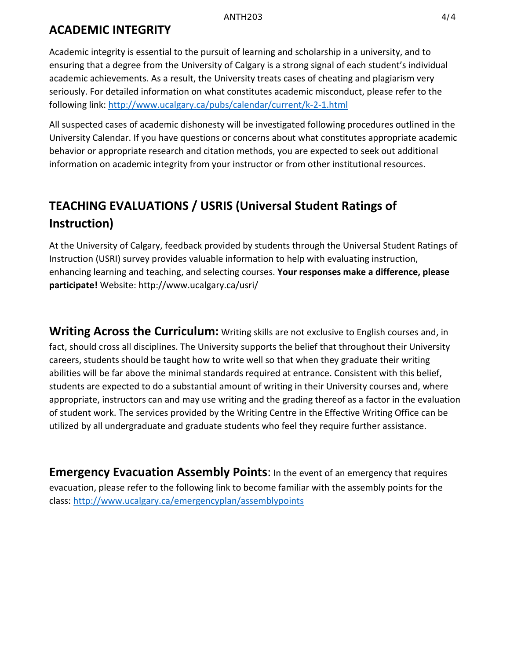### **ACADEMIC INTEGRITY**

Academic integrity is essential to the pursuit of learning and scholarship in a university, and to ensuring that a degree from the University of Calgary is a strong signal of each student's individual academic achievements. As a result, the University treats cases of cheating and plagiarism very seriously. For detailed information on what constitutes academic misconduct, please refer to the following link:<http://www.ucalgary.ca/pubs/calendar/current/k-2-1.html>

All suspected cases of academic dishonesty will be investigated following procedures outlined in the University Calendar. If you have questions or concerns about what constitutes appropriate academic behavior or appropriate research and citation methods, you are expected to seek out additional information on academic integrity from your instructor or from other institutional resources.

# **TEACHING EVALUATIONS / USRIS (Universal Student Ratings of Instruction)**

At the University of Calgary, feedback provided by students through the Universal Student Ratings of Instruction (USRI) survey provides valuable information to help with evaluating instruction, enhancing learning and teaching, and selecting courses. **Your responses make a difference, please participate!** Website: http://www.ucalgary.ca/usri/

**Writing Across the Curriculum:** Writing skills are not exclusive to English courses and, in fact, should cross all disciplines. The University supports the belief that throughout their University careers, students should be taught how to write well so that when they graduate their writing abilities will be far above the minimal standards required at entrance. Consistent with this belief, students are expected to do a substantial amount of writing in their University courses and, where appropriate, instructors can and may use writing and the grading thereof as a factor in the evaluation of student work. The services provided by the Writing Centre in the Effective Writing Office can be utilized by all undergraduate and graduate students who feel they require further assistance.

**Emergency Evacuation Assembly Points:** In the event of an emergency that requires evacuation, please refer to the following link to become familiar with the assembly points for the class:<http://www.ucalgary.ca/emergencyplan/assemblypoints>